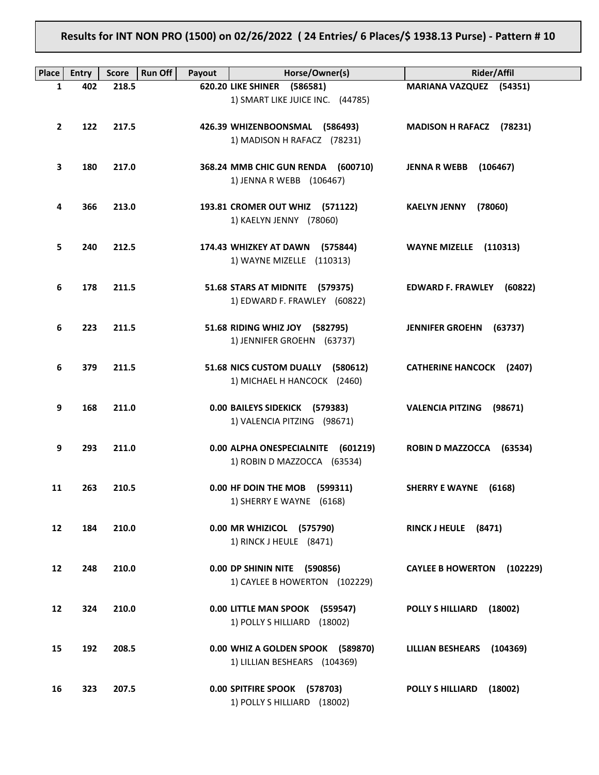**Results for INT NON PRO (1500) on 02/26/2022 ( 24 Entries/ 6 Places/\$ 1938.13 Purse) - Pattern # 10**

| Place             | <b>Entry</b> | <b>Score</b> | <b>Run Off</b><br>Payout | Horse/Owner(s)                                                | <b>Rider/Affil</b>                   |
|-------------------|--------------|--------------|--------------------------|---------------------------------------------------------------|--------------------------------------|
| 1                 | 402          | 218.5        |                          | 620.20 LIKE SHINER (586581)                                   | <b>MARIANA VAZQUEZ (54351)</b>       |
|                   |              |              |                          | 1) SMART LIKE JUICE INC. (44785)                              |                                      |
|                   |              |              |                          |                                                               |                                      |
| $\mathbf{2}$      | 122          | 217.5        |                          | 426.39 WHIZENBOONSMAL (586493)<br>1) MADISON H RAFACZ (78231) | MADISON H RAFACZ (78231)             |
|                   |              |              |                          |                                                               |                                      |
| 3                 | 180          | 217.0        |                          | 368.24 MMB CHIC GUN RENDA (600710)                            | <b>JENNA R WEBB</b> (106467)         |
|                   |              |              |                          | 1) JENNA R WEBB (106467)                                      |                                      |
|                   |              |              |                          |                                                               |                                      |
| 4                 | 366          | 213.0        |                          | 193.81 CROMER OUT WHIZ (571122)                               | (78060)<br><b>KAELYN JENNY</b>       |
|                   |              |              |                          | 1) KAELYN JENNY (78060)                                       |                                      |
| 5.                | 240          | 212.5        |                          | 174.43 WHIZKEY AT DAWN (575844)                               | WAYNE MIZELLE (110313)               |
|                   |              |              |                          | 1) WAYNE MIZELLE (110313)                                     |                                      |
|                   |              |              |                          |                                                               |                                      |
| 6                 | 178          | 211.5        |                          | 51.68 STARS AT MIDNITE (579375)                               | <b>EDWARD F. FRAWLEY</b><br>(60822)  |
|                   |              |              |                          | 1) EDWARD F. FRAWLEY (60822)                                  |                                      |
| 6                 | 223          | 211.5        |                          | 51.68 RIDING WHIZ JOY (582795)                                | <b>JENNIFER GROEHN</b><br>(63737)    |
|                   |              |              |                          | 1) JENNIFER GROEHN (63737)                                    |                                      |
|                   |              |              |                          |                                                               |                                      |
| 6                 | 379          | 211.5        |                          | 51.68 NICS CUSTOM DUALLY (580612)                             | <b>CATHERINE HANCOCK (2407)</b>      |
|                   |              |              |                          | 1) MICHAEL H HANCOCK (2460)                                   |                                      |
|                   | 168          | 211.0        |                          |                                                               |                                      |
| 9                 |              |              |                          | 0.00 BAILEYS SIDEKICK (579383)<br>1) VALENCIA PITZING (98671) | <b>VALENCIA PITZING</b><br>(98671)   |
|                   |              |              |                          |                                                               |                                      |
| 9                 | 293          | 211.0        |                          | 0.00 ALPHA ONESPECIALNITE (601219)                            | ROBIN D MAZZOCCA (63534)             |
|                   |              |              |                          | 1) ROBIN D MAZZOCCA (63534)                                   |                                      |
|                   |              |              |                          |                                                               |                                      |
| 11                | 263          | 210.5        |                          | 0.00 HF DOIN THE MOB<br>(599311)<br>1) SHERRY E WAYNE (6168)  | <b>SHERRY E WAYNE</b><br>(6168)      |
|                   |              |              |                          |                                                               |                                      |
| $12 \overline{ }$ | 184          | 210.0        |                          | 0.00 MR WHIZICOL (575790)                                     | RINCK J HEULE (8471)                 |
|                   |              |              |                          | 1) RINCK J HEULE (8471)                                       |                                      |
|                   |              |              |                          |                                                               |                                      |
| 12                | 248          | 210.0        |                          | 0.00 DP SHININ NITE (590856)                                  | <b>CAYLEE B HOWERTON</b><br>(102229) |
|                   |              |              |                          | 1) CAYLEE B HOWERTON (102229)                                 |                                      |
| 12                | 324          | 210.0        |                          | 0.00 LITTLE MAN SPOOK (559547)                                | <b>POLLY S HILLIARD</b><br>(18002)   |
|                   |              |              |                          | 1) POLLY S HILLIARD<br>(18002)                                |                                      |
|                   |              |              |                          |                                                               |                                      |
| 15                | 192          | 208.5        |                          | 0.00 WHIZ A GOLDEN SPOOK (589870)                             | LILLIAN BESHEARS (104369)            |
|                   |              |              |                          | 1) LILLIAN BESHEARS (104369)                                  |                                      |
| 16                | 323          | 207.5        |                          | 0.00 SPITFIRE SPOOK (578703)                                  | <b>POLLY S HILLIARD</b><br>(18002)   |
|                   |              |              |                          | 1) POLLY S HILLIARD (18002)                                   |                                      |
|                   |              |              |                          |                                                               |                                      |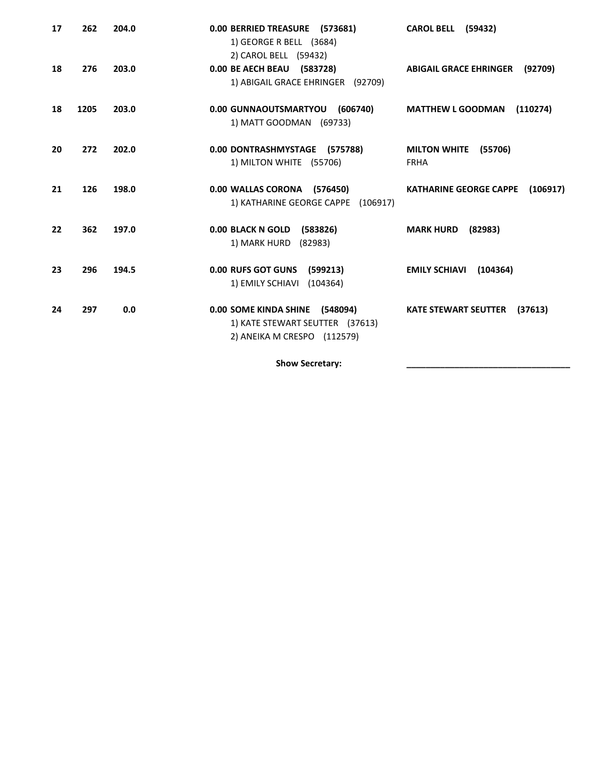| 17 | 262  | 204.0 | 0.00 BERRIED TREASURE (573681)<br>1) GEORGE R BELL (3684)<br>2) CAROL BELL (59432)               | <b>CAROL BELL (59432)</b>                     |
|----|------|-------|--------------------------------------------------------------------------------------------------|-----------------------------------------------|
| 18 | 276  | 203.0 | 0.00 BE AECH BEAU (583728)<br>1) ABIGAIL GRACE EHRINGER (92709)                                  | <b>ABIGAIL GRACE EHRINGER</b><br>(92709)      |
| 18 | 1205 | 203.0 | 0.00 GUNNAOUTSMARTYOU<br>(606740)<br>1) MATT GOODMAN (69733)                                     | <b>MATTHEW L GOODMAN</b><br>(110274)          |
| 20 | 272  | 202.0 | 0.00 DONTRASHMYSTAGE (575788)<br>1) MILTON WHITE (55706)                                         | (55706)<br><b>MILTON WHITE</b><br><b>FRHA</b> |
| 21 | 126  | 198.0 | 0.00 WALLAS CORONA (576450)<br>1) KATHARINE GEORGE CAPPE (106917)                                | <b>KATHARINE GEORGE CAPPE</b><br>(106917)     |
| 22 | 362  | 197.0 | 0.00 BLACK N GOLD (583826)<br>1) MARK HURD (82983)                                               | (82983)<br><b>MARK HURD</b>                   |
| 23 | 296  | 194.5 | <b>0.00 RUFS GOT GUNS</b><br>(599213)<br>1) EMILY SCHIAVI (104364)                               | <b>EMILY SCHIAVI</b><br>(104364)              |
| 24 | 297  | 0.0   | 0.00 SOME KINDA SHINE (548094)<br>1) KATE STEWART SEUTTER (37613)<br>2) ANEIKA M CRESPO (112579) | <b>KATE STEWART SEUTTER</b><br>(37613)        |

Show Secretary: